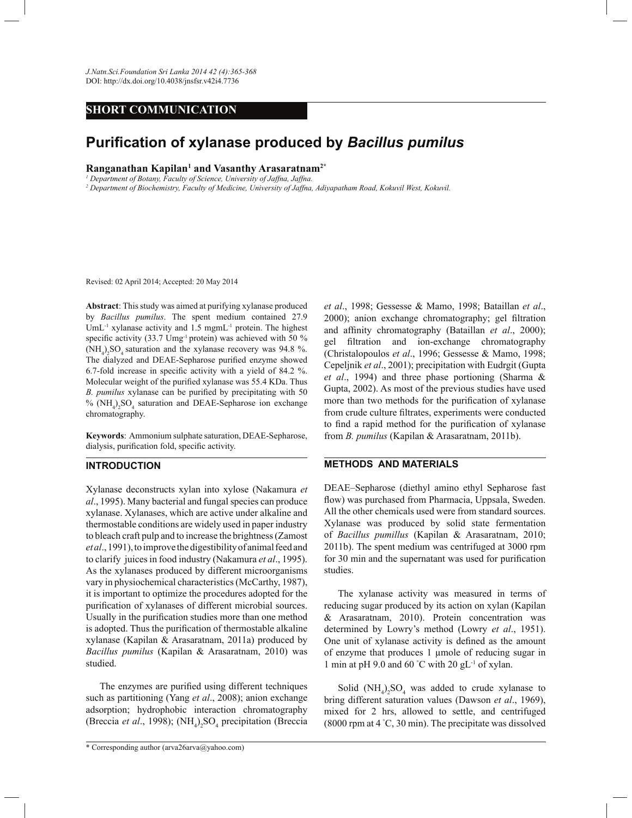*J.Natn.Sci.Foundation Sri Lanka 2014 42 (4):365-368* DOI: http://dx.doi.org/10.4038/jnsfsr.v42i4.7736

## **SHORT COMMUNICATION**

# **Purification of xylanase produced by** *Bacillus pumilus*

### **Ranganathan Kapilan<sup>1</sup> and Vasanthy Arasaratnam2\***

<sup>1</sup> Department of Botany, Faculty of Science, University of Jaffna, Jaffna.

*2 Department of Biochemistry, Faculty of Medicine, University of Jaffna, Adiyapatham Road, Kokuvil West, Kokuvil.*

Revised: 02 April 2014; Accepted: 20 May 2014

**Abstract**: This study was aimed at purifying xylanase produced by *Bacillus pumilus*. The spent medium contained 27.9 UmL<sup>-1</sup> xylanase activity and 1.5 mgmL<sup>-1</sup> protein. The highest specific activity (33.7 Umg<sup>-1</sup> protein) was achieved with 50 %  $(\text{NH}_4)$ <sub>2</sub>SO<sub>4</sub> saturation and the xylanase recovery was 94.8 %. The dialyzed and DEAE-Sepharose purified enzyme showed 6.7-fold increase in specific activity with a yield of 84.2 %. Molecular weight of the purified xylanase was 55.4 KDa. Thus *B. pumilus* xylanase can be purified by precipitating with 50  $% (NH<sub>4</sub>)<sub>2</sub>SO<sub>4</sub>$  saturation and DEAE-Sepharose ion exchange chromatography.

**Keywords**: Ammonium sulphate saturation, DEAE-Sepharose, dialysis, purification fold, specific activity.

#### **INTRODUCTION**

Xylanase deconstructs xylan into xylose (Nakamura *et al*., 1995). Many bacterial and fungal species can produce xylanase. Xylanases, which are active under alkaline and thermostable conditions are widely used in paper industry to bleach craft pulp and to increase the brightness (Zamost *et al*., 1991), to improve the digestibility of animal feed and to clarify juices in food industry (Nakamura *et al*., 1995). As the xylanases produced by different microorganisms vary in physiochemical characteristics (McCarthy, 1987), it is important to optimize the procedures adopted for the purification of xylanases of different microbial sources. Usually in the purification studies more than one method is adopted. Thus the purification of thermostable alkaline xylanase (Kapilan & Arasaratnam, 2011a) produced by *Bacillus pumilus* (Kapilan & Arasaratnam, 2010) was studied.

 The enzymes are purified using different techniques such as partitioning (Yang *et al*., 2008); anion exchange adsorption; hydrophobic interaction chromatography (Breccia *et al.*, 1998);  $(NH_4)_2SO_4$  precipitation (Breccia

\* Corresponding author (arva26arva@yahoo.com)

*et al*., 1998; Gessesse & Mamo, 1998; Bataillan *et al*., 2000); anion exchange chromatography; gel filtration and affinity chromatography (Bataillan *et al*., 2000); gel filtration and ion-exchange chromatography (Christalopoulos *et al*., 1996; Gessesse & Mamo, 1998; Cepeljnik *et al*., 2001); precipitation with Eudrgit (Gupta *et al*., 1994) and three phase portioning (Sharma & Gupta, 2002). As most of the previous studies have used more than two methods for the purification of xylanase from crude culture filtrates, experiments were conducted to find a rapid method for the purification of xylanase from *B. pumilus* (Kapilan & Arasaratnam, 2011b).

#### **METHODS AND MATERIALS**

DEAE–Sepharose (diethyl amino ethyl Sepharose fast flow) was purchased from Pharmacia, Uppsala, Sweden. All the other chemicals used were from standard sources. Xylanase was produced by solid state fermentation of *Bacillus pumillus* (Kapilan & Arasaratnam, 2010; 2011b). The spent medium was centrifuged at 3000 rpm for 30 min and the supernatant was used for purification studies.

 The xylanase activity was measured in terms of reducing sugar produced by its action on xylan (Kapilan & Arasaratnam, 2010). Protein concentration was determined by Lowry's method (Lowry *et al*., 1951). One unit of xylanase activity is defined as the amount of enzyme that produces 1 µmole of reducing sugar in 1 min at pH 9.0 and 60  $\degree$ C with 20 gL<sup>-1</sup> of xylan.

Solid  $(NH_4)_2SO_4$  was added to crude xylanase to bring different saturation values (Dawson *et al*., 1969), mixed for 2 hrs, allowed to settle, and centrifuged (8000 rpm at 4 °C, 30 min). The precipitate was dissolved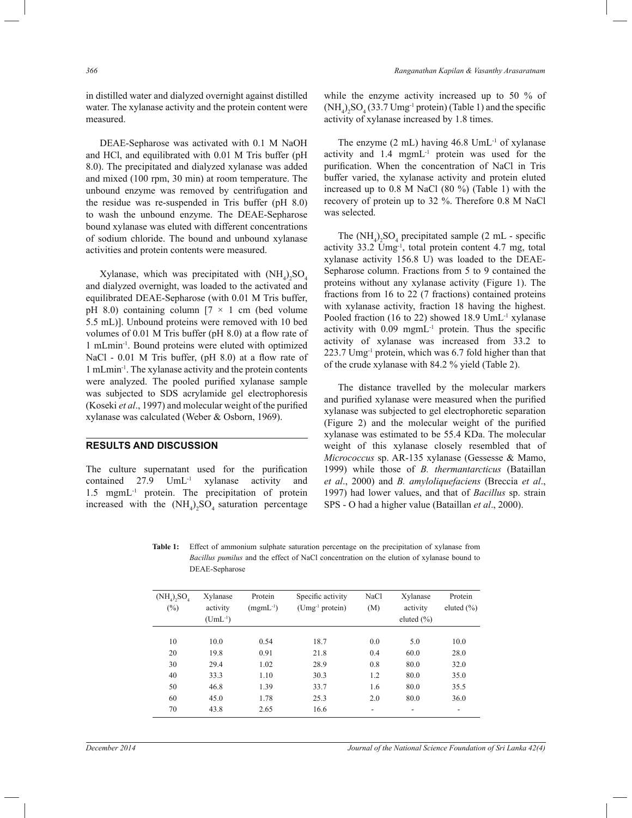in distilled water and dialyzed overnight against distilled water. The xylanase activity and the protein content were measured.

 DEAE-Sepharose was activated with 0.1 M NaOH and HCl, and equilibrated with 0.01 M Tris buffer (pH 8.0). The precipitated and dialyzed xylanase was added and mixed (100 rpm, 30 min) at room temperature. The unbound enzyme was removed by centrifugation and the residue was re-suspended in Tris buffer (pH 8.0) to wash the unbound enzyme. The DEAE-Sepharose bound xylanase was eluted with different concentrations of sodium chloride. The bound and unbound xylanase activities and protein contents were measured.

Xylanase, which was precipitated with  $(NH_4)_2SO_4$ and dialyzed overnight, was loaded to the activated and equilibrated DEAE-Sepharose (with 0.01 M Tris buffer, pH 8.0) containing column  $[7 \times 1 \text{ cm}$  (bed volume 5.5 mL)]. Unbound proteins were removed with 10 bed volumes of 0.01 M Tris buffer (pH 8.0) at a flow rate of 1 mLmin-1. Bound proteins were eluted with optimized NaCl - 0.01 M Tris buffer, (pH 8.0) at a flow rate of 1 mLmin-1 . The xylanase activity and the protein contents were analyzed. The pooled purified xylanase sample was subjected to SDS acrylamide gel electrophoresis (Koseki *et al*., 1997) and molecular weight of the purified xylanase was calculated (Weber & Osborn, 1969).

#### **RESULTS AND DISCUSSION**

The culture supernatant used for the purification contained 27.9 UmL-1 xylanase activity and 1.5 mgmL-1 protein. The precipitation of protein increased with the  $(NH_4)_2SO_4$  saturation percentage while the enzyme activity increased up to 50 % of  $(NH_4)_2SO_4(33.7 Umg<sup>-1</sup> protein)$  (Table 1) and the specific activity of xylanase increased by 1.8 times.

The enzyme  $(2 \text{ mL})$  having  $46.8 \text{ Um}$ L<sup>1</sup> of xylanase activity and  $1.4$  mgmL $^{-1}$  protein was used for the purification. When the concentration of NaCl in Tris buffer varied, the xylanase activity and protein eluted increased up to 0.8 M NaCl (80 %) (Table 1) with the recovery of protein up to 32 %. Therefore 0.8 M NaCl was selected.

The  $(NH_4)_2SO_4$  precipitated sample (2 mL - specific activity 33.2 Umg-1, total protein content 4.7 mg, total xylanase activity 156.8 U) was loaded to the DEAE-Sepharose column. Fractions from 5 to 9 contained the proteins without any xylanase activity (Figure 1). The fractions from 16 to 22 (7 fractions) contained proteins with xylanase activity, fraction 18 having the highest. Pooled fraction (16 to 22) showed 18.9 UmL<sup>-1</sup> xylanase activity with  $0.09$  mgmL<sup>-1</sup> protein. Thus the specific activity of xylanase was increased from 33.2 to 223.7 Umg-1 protein, which was 6.7 fold higher than that of the crude xylanase with 84.2 % yield (Table 2).

 The distance travelled by the molecular markers and purified xylanase were measured when the purified xylanase was subjected to gel electrophoretic separation (Figure 2) and the molecular weight of the purified xylanase was estimated to be 55.4 KDa. The molecular weight of this xylanase closely resembled that of *Micrococcus* sp. AR-135 xylanase (Gessesse & Mamo, 1999) while those of *B. thermantarcticus* (Bataillan *et al*., 2000) and *B. amyloliquefaciens* (Breccia *et al*., 1997) had lower values, and that of *Bacillus* sp. strain SPS - O had a higher value (Bataillan *et al*., 2000).

**Table 1:** Effect of ammonium sulphate saturation percentage on the precipitation of xylanase from *Bacillus pumilus* and the effect of NaCl concentration on the elution of xylanase bound to DEAE-Sepharose

| $(NH_4)$ , $SO_4$<br>$(\%)$ | Xylanase<br>activity<br>$(UmL^{-1})$ | Protein<br>$(mgmL^{-1})$ | Specific activity<br>$(Umg-1 protein)$ | NaCl<br>(M)              | Xylanase<br>activity<br>eluted $(\% )$ | Protein<br>eluted $(\% )$ |
|-----------------------------|--------------------------------------|--------------------------|----------------------------------------|--------------------------|----------------------------------------|---------------------------|
| 10                          | 10.0                                 | 0.54                     | 18.7                                   | 0.0                      | 5.0                                    | 10.0                      |
| 20                          | 19.8                                 | 0.91                     | 21.8                                   | 0.4                      | 60.0                                   | 28.0                      |
| 30                          | 29.4                                 | 1.02                     | 28.9                                   | 0.8                      | 80.0                                   | 32.0                      |
| 40                          | 33.3                                 | 1.10                     | 30.3                                   | 1.2                      | 80.0                                   | 35.0                      |
| 50                          | 46.8                                 | 1.39                     | 33.7                                   | 1.6                      | 80.0                                   | 35.5                      |
| 60                          | 45.0                                 | 1.78                     | 25.3                                   | 2.0                      | 80.0                                   | 36.0                      |
| 70                          | 43.8                                 | 2.65                     | 16.6                                   | $\overline{\phantom{a}}$ | $\overline{\phantom{0}}$               | $\overline{\phantom{a}}$  |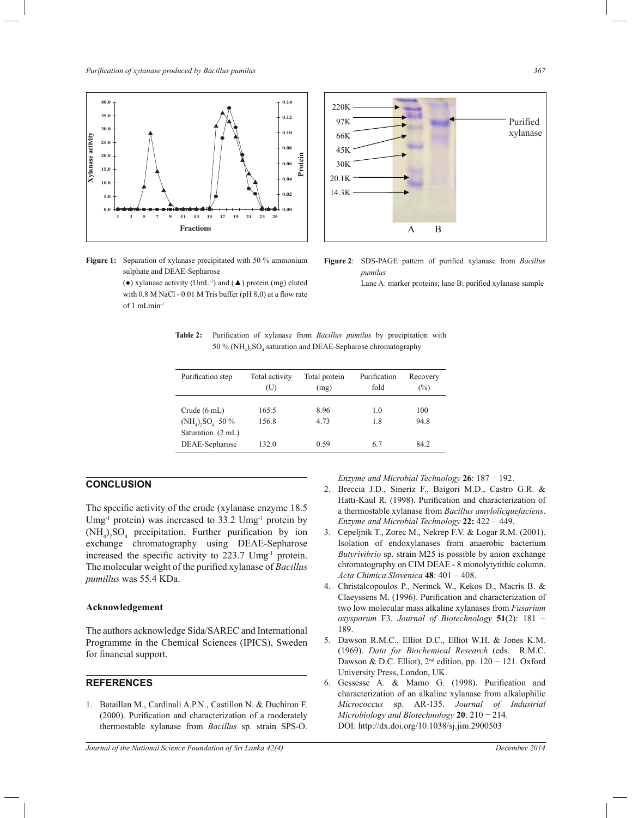



**Figure 1:** Separation of xylanase precipitated with 50 % ammonium sulphate and DEAE-Sepharose

> (●) xylanase activity (UmL-1) and (▲) protein (mg) eluted with 0.8 M NaCl - 0.01 M Tris buffer (pH 8.0) at a flow rate of 1 mLmin-1

Lane A: marker proteins; lane B: purified xylanase sample

**Table 2:** Purification of xylanase from *Bacillus pumilus* by precipitation with 50 % ( $NH_4$ )<sub>2</sub>SO<sub>4</sub> saturation and DEAE-Sepharose chromatography

| Purification step                                                     | Total activity<br>(U) | Total protein<br>(mg) | Purification<br>fold | Recovery<br>$(\%)$ |
|-----------------------------------------------------------------------|-----------------------|-----------------------|----------------------|--------------------|
| Crude $(6 \text{ mL})$<br>$(NH_4)$ , $SO_4$ 50 %<br>Saturation (2 mL) | 165.5<br>156.8        | 8.96<br>4.73          | 1.0<br>1.8           | 100<br>94.8        |
| DEAE-Sepharose                                                        | 132.0                 | 0.59                  | 6.7                  | 84.2               |

## **CONCLUSION**

The specific activity of the crude (xylanase enzyme 18.5 Umg<sup>-1</sup> protein) was increased to  $33.2 \text{ Umg}$ <sup>-1</sup> protein by  $(NH_4)_2SO_4$  precipitation. Further purification by ion exchange chromatography using DEAE-Sepharose increased the specific activity to 223.7 Umg<sup>-1</sup> protein. The molecular weight of the purified xylanase of *Bacillus pumillus* was 55.4 KDa.

#### **Acknowledgement**

The authors acknowledge Sida/SAREC and International Programme in the Chemical Sciences (IPICS), Sweden for financial support.

#### **REFERENCES**

1. Bataillan M., Cardinali A.P.N., Castillon N. & Duchiron F. (2000). Purification and characterization of a moderately thermostable xylanase from *Bacillus* sp. strain SPS-O.

*Enzyme and Microbial Technology* **26**: 187 − 192.

- 2. Breccia J.D., Sineriz F., Baigori M.D., Castro G.R. & Hatti-Kaul R. (1998). Purification and characterization of a thermostable xylanase from *Bacillus amylolicquefaciens*. *Enzyme and Microbial Technology* **22:** 422 − 449.
- 3. Cepeljnik T., Zorec M., Nekrep F.V. & Logar R.M. (2001). Isolation of endoxylanases from anaerobic bacterium *Butyrivibrio* sp. strain M25 is possible by anion exchange chromatography on CIM DEAE - 8 monolytytithic column. *Acta Chimica Slovenica* **48**: 401 − 408.
- 4. Christalcopoulos P., Nerinck W., Kekos D., Macris B. & Claeyssens M. (1996). Purification and characterization of two low molecular mass alkaline xylanases from *Fusarium oxysporum* F3. *Journal of Biotechnology* **51**(2): 181 − 189.
- 5. Dawson R.M.C., Elliot D.C., Elliot W.H. & Jones K.M. (1969). *Data for Biochemical Research* (eds. R.M.C. 8 Dawson & D.C. Elliot), 2<sup>nd</sup> edition, pp. 120 − 121. Oxford University Press, London, UK.
- 6. Gessesse A. & Mamo G. (1998). Purification and characterization of an alkaline xylanase from alkalophilic *Micrococcus* sp. AR-135. *Journal of Industrial Microbiology and Biotechnology* **20**: 210 − 214. DOI: http://dx.doi.org/10.1038/sj.jim.2900503

**Figure 2**: SDS-PAGE pattern of purified xylanase from *Bacillus pumilus*